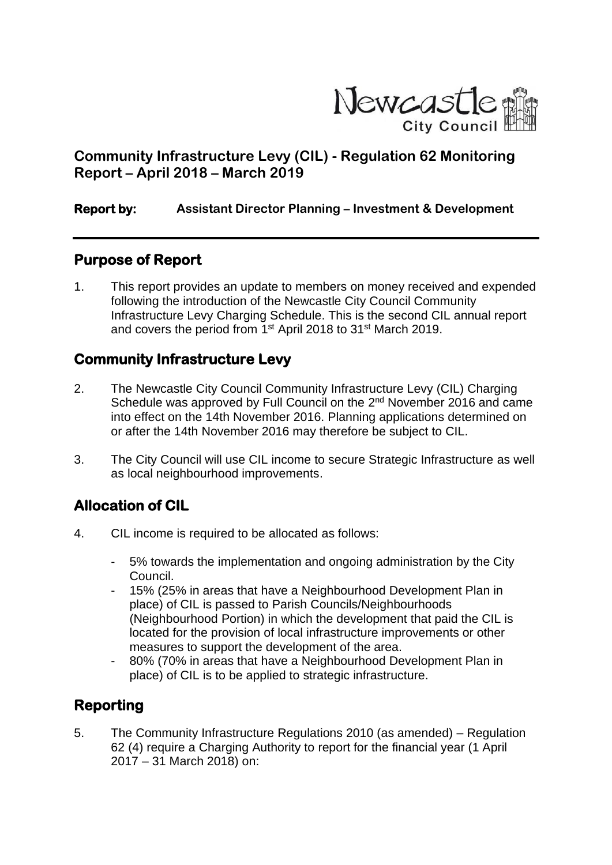

# **Community Infrastructure Levy (CIL) - Regulation 62 Monitoring Report – April 2018 – March 2019**

#### **Report by: Assistant Director Planning – Investment & Development**

### **Purpose of Report**

1. This report provides an update to members on money received and expended following the introduction of the Newcastle City Council Community Infrastructure Levy Charging Schedule. This is the second CIL annual report and covers the period from 1<sup>st</sup> April 2018 to 31<sup>st</sup> March 2019.

## **Community Infrastructure Levy**

- 2. The Newcastle City Council Community Infrastructure Levy (CIL) Charging Schedule was approved by Full Council on the 2<sup>nd</sup> November 2016 and came into effect on the 14th November 2016. Planning applications determined on or after the 14th November 2016 may therefore be subject to CIL.
- 3. The City Council will use CIL income to secure Strategic Infrastructure as well as local neighbourhood improvements.

# **Allocation of CIL**

- 4. CIL income is required to be allocated as follows:
	- 5% towards the implementation and ongoing administration by the City Council.
	- 15% (25% in areas that have a Neighbourhood Development Plan in place) of CIL is passed to Parish Councils/Neighbourhoods (Neighbourhood Portion) in which the development that paid the CIL is located for the provision of local infrastructure improvements or other measures to support the development of the area.
	- 80% (70% in areas that have a Neighbourhood Development Plan in place) of CIL is to be applied to strategic infrastructure.

# **Reporting**

5. The Community Infrastructure Regulations 2010 (as amended) – Regulation 62 (4) require a Charging Authority to report for the financial year (1 April 2017 – 31 March 2018) on: